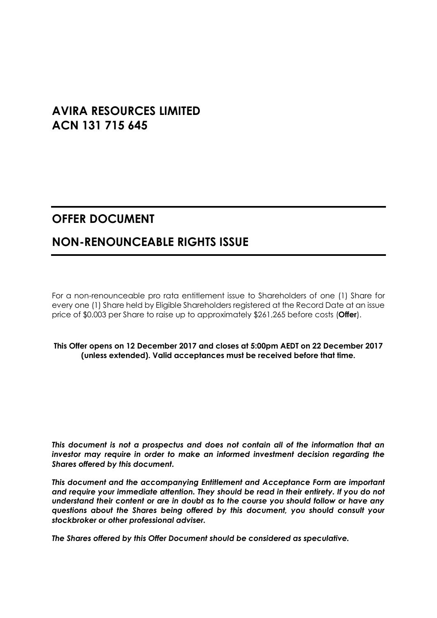# **AVIRA RESOURCES LIMITED ACN 131 715 645**

# **OFFER DOCUMENT**

# **NON-RENOUNCEABLE RIGHTS ISSUE**

For a non-renounceable pro rata entitlement issue to Shareholders of one (1) Share for every one (1) Share held by Eligible Shareholders registered at the Record Date at an issue price of \$0.003 per Share to raise up to approximately \$261,265 before costs (**Offer**).

#### **This Offer opens on 12 December 2017 and closes at 5:00pm AEDT on 22 December 2017 (unless extended). Valid acceptances must be received before that time.**

*This document is not a prospectus and does not contain all of the information that an investor may require in order to make an informed investment decision regarding the Shares offered by this document.* 

*This document and the accompanying Entitlement and Acceptance Form are important and require your immediate attention. They should be read in their entirety. If you do not understand their content or are in doubt as to the course you should follow or have any questions about the Shares being offered by this document, you should consult your stockbroker or other professional adviser.* 

*The Shares offered by this Offer Document should be considered as speculative.*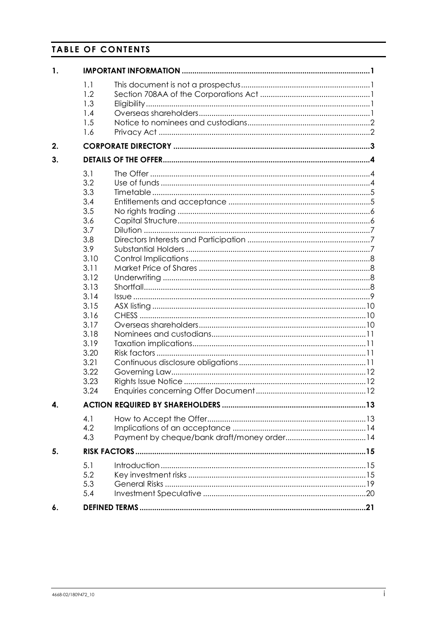# **TABLE OF CONTENTS**

| $\mathbf{1}$ . |                   |  |  |  |  |  |
|----------------|-------------------|--|--|--|--|--|
|                | 1.1<br>1.2<br>1.3 |  |  |  |  |  |
|                | 1.4               |  |  |  |  |  |
|                | 1.5               |  |  |  |  |  |
|                | 1.6               |  |  |  |  |  |
| 2.             |                   |  |  |  |  |  |
| 3.             |                   |  |  |  |  |  |
|                | 3.1               |  |  |  |  |  |
|                | 3.2               |  |  |  |  |  |
|                | 3.3               |  |  |  |  |  |
|                | 3.4               |  |  |  |  |  |
|                | 3.5               |  |  |  |  |  |
|                | 3.6               |  |  |  |  |  |
|                | 3.7               |  |  |  |  |  |
|                | 3.8               |  |  |  |  |  |
|                | 3.9               |  |  |  |  |  |
|                | 3.10              |  |  |  |  |  |
|                | 3.11              |  |  |  |  |  |
|                | 3.12              |  |  |  |  |  |
|                | 3.13              |  |  |  |  |  |
|                | 3.14              |  |  |  |  |  |
|                | 3.15              |  |  |  |  |  |
|                | 3.16              |  |  |  |  |  |
|                | 3.17              |  |  |  |  |  |
|                | 3.18              |  |  |  |  |  |
|                | 3.19              |  |  |  |  |  |
|                | 3.20              |  |  |  |  |  |
|                | 3.21              |  |  |  |  |  |
|                | 3.22              |  |  |  |  |  |
|                | 3.23              |  |  |  |  |  |
|                | 3.24              |  |  |  |  |  |
| 4.             |                   |  |  |  |  |  |
|                | 4.1               |  |  |  |  |  |
|                | 4.2               |  |  |  |  |  |
|                | 4.3               |  |  |  |  |  |
| 5.             |                   |  |  |  |  |  |
|                | 5.1               |  |  |  |  |  |
|                | 5.2               |  |  |  |  |  |
|                | 5.3               |  |  |  |  |  |
|                | 5.4               |  |  |  |  |  |
| 6.             |                   |  |  |  |  |  |
|                |                   |  |  |  |  |  |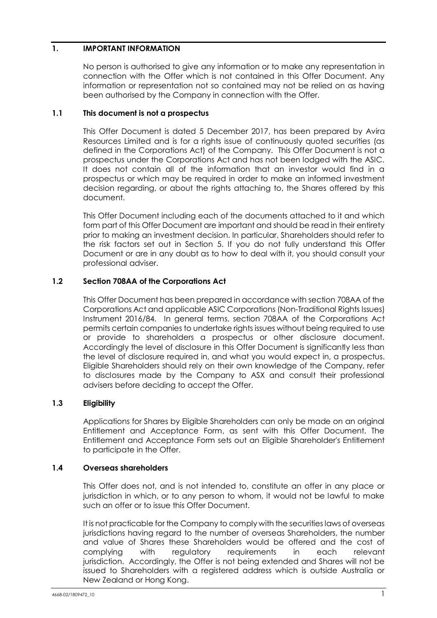# <span id="page-2-0"></span>**1. IMPORTANT INFORMATION**

No person is authorised to give any information or to make any representation in connection with the Offer which is not contained in this Offer Document. Any information or representation not so contained may not be relied on as having been authorised by the Company in connection with the Offer.

#### <span id="page-2-1"></span>**1.1 This document is not a prospectus**

This Offer Document is dated 5 December 2017, has been prepared by Avira Resources Limited and is for a rights issue of continuously quoted securities (as defined in the Corporations Act) of the Company. This Offer Document is not a prospectus under the Corporations Act and has not been lodged with the ASIC. It does not contain all of the information that an investor would find in a prospectus or which may be required in order to make an informed investment decision regarding, or about the rights attaching to, the Shares offered by this document.

This Offer Document including each of the documents attached to it and which form part of this Offer Document are important and should be read in their entirety prior to making an investment decision. In particular, Shareholders should refer to the risk factors set out in Section [5.](#page-16-0) If you do not fully understand this Offer Document or are in any doubt as to how to deal with it, you should consult your professional adviser.

# <span id="page-2-2"></span>**1.2 Section 708AA of the Corporations Act**

This Offer Document has been prepared in accordance with section 708AA of the Corporations Act and applicable ASIC Corporations (Non-Traditional Rights Issues) Instrument 2016/84. In general terms, section 708AA of the Corporations Act permits certain companies to undertake rights issues without being required to use or provide to shareholders a prospectus or other disclosure document. Accordingly the level of disclosure in this Offer Document is significantly less than the level of disclosure required in, and what you would expect in, a prospectus. Eligible Shareholders should rely on their own knowledge of the Company, refer to disclosures made by the Company to ASX and consult their professional advisers before deciding to accept the Offer.

#### <span id="page-2-3"></span>**1.3 Eligibility**

Applications for Shares by Eligible Shareholders can only be made on an original Entitlement and Acceptance Form, as sent with this Offer Document. The Entitlement and Acceptance Form sets out an Eligible Shareholder's Entitlement to participate in the Offer.

#### <span id="page-2-4"></span>**1.4 Overseas shareholders**

This Offer does not, and is not intended to, constitute an offer in any place or jurisdiction in which, or to any person to whom, it would not be lawful to make such an offer or to issue this Offer Document.

It is not practicable for the Company to comply with the securities laws of overseas jurisdictions having regard to the number of overseas Shareholders, the number and value of Shares these Shareholders would be offered and the cost of complying with regulatory requirements in each relevant jurisdiction. Accordingly, the Offer is not being extended and Shares will not be issued to Shareholders with a registered address which is outside Australia or New Zealand or Hong Kong.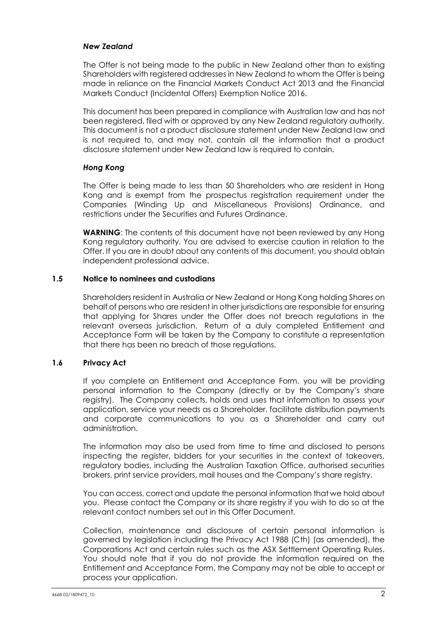#### *New Zealand*

The Offer is not being made to the public in New Zealand other than to existing Shareholders with registered addresses in New Zealand to whom the Offer is being made in reliance on the Financial Markets Conduct Act 2013 and the Financial Markets Conduct (Incidental Offers) Exemption Notice 2016.

This document has been prepared in compliance with Australian law and has not been registered, filed with or approved by any New Zealand regulatory authority. This document is not a product disclosure statement under New Zealand law and is not required to, and may not, contain all the information that a product disclosure statement under New Zealand law is required to contain.

# *Hong Kong*

The Offer is being made to less than 50 Shareholders who are resident in Hong Kong and is exempt from the prospectus registration requirement under the Companies (Winding Up and Miscellaneous Provisions) Ordinance, and restrictions under the Securities and Futures Ordinance.

**WARNING**: The contents of this document have not been reviewed by any Hong Kong regulatory authority. You are advised to exercise caution in relation to the Offer. If you are in doubt about any contents of this document, you should obtain independent professional advice.

#### <span id="page-3-0"></span>**1.5 Notice to nominees and custodians**

Shareholders resident in Australia or New Zealand or Hong Kong holding Shares on behalf of persons who are resident in other jurisdictions are responsible for ensuring that applying for Shares under the Offer does not breach regulations in the relevant overseas jurisdiction. Return of a duly completed Entitlement and Acceptance Form will be taken by the Company to constitute a representation that there has been no breach of those regulations.

#### <span id="page-3-1"></span>**1.6 Privacy Act**

If you complete an Entitlement and Acceptance Form, you will be providing personal information to the Company (directly or by the Company's share registry). The Company collects, holds and uses that information to assess your application, service your needs as a Shareholder, facilitate distribution payments and corporate communications to you as a Shareholder and carry out administration.

The information may also be used from time to time and disclosed to persons inspecting the register, bidders for your securities in the context of takeovers, regulatory bodies, including the Australian Taxation Office, authorised securities brokers, print service providers, mail houses and the Company's share registry.

You can access, correct and update the personal information that we hold about you. Please contact the Company or its share registry if you wish to do so at the relevant contact numbers set out in this Offer Document.

Collection, maintenance and disclosure of certain personal information is governed by legislation including the Privacy Act 1988 (Cth) (as amended), the Corporations Act and certain rules such as the ASX Settlement Operating Rules. You should note that if you do not provide the information required on the Entitlement and Acceptance Form, the Company may not be able to accept or process your application.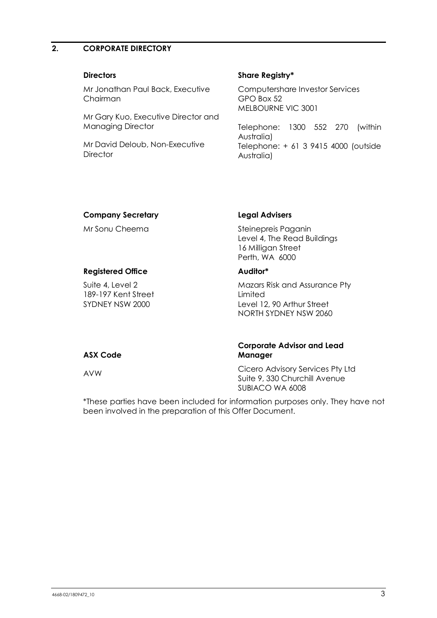# <span id="page-4-0"></span>**2. CORPORATE DIRECTORY**

Mr Jonathan Paul Back, Executive Chairman

Mr Gary Kuo, Executive Director and Managing Director

Mr David Deloub, Non-Executive **Director** 

#### **Directors Share Registry\***

Computershare Investor Services GPO Box 52 MELBOURNE VIC 3001

Telephone: 1300 552 270 (within Australia) Telephone: + 61 3 9415 4000 (outside Australia)

#### **Company Secretary Legal Advisers**

Suite 4, Level 2 189-197 Kent Street SYDNEY NSW 2000

Mr Sonu Cheema<br>
Steinepreis Paganin Level 4, The Read Buildings 16 Milligan Street Perth, WA 6000

#### **Registered Office Auditor\***

Mazars Risk and Assurance Pty **Limited** Level 12, 90 Arthur Street NORTH SYDNEY NSW 2060

#### **ASX Code**

**Corporate Advisor and Lead Manager**

AVW Cicero Advisory Services Pty Ltd Suite 9, 330 Churchill Avenue SUBIACO WA 6008

\*These parties have been included for information purposes only. They have not been involved in the preparation of this Offer Document.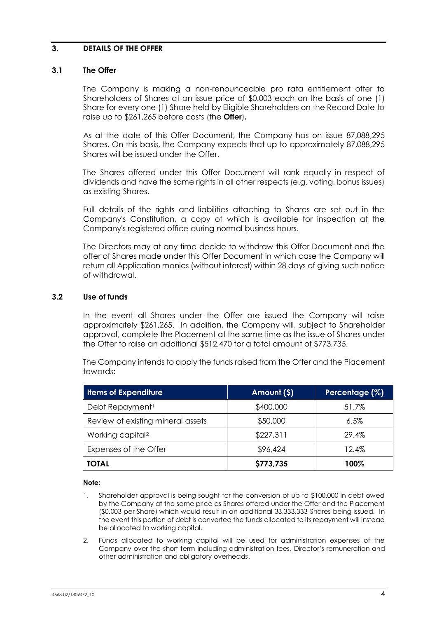#### <span id="page-5-0"></span>**3. DETAILS OF THE OFFER**

#### <span id="page-5-1"></span>**3.1 The Offer**

The Company is making a non-renounceable pro rata entitlement offer to Shareholders of Shares at an issue price of \$0.003 each on the basis of one (1) Share for every one (1) Share held by Eligible Shareholders on the Record Date to raise up to \$261,265 before costs (the **Offer**)**.**

As at the date of this Offer Document, the Company has on issue 87,088,295 Shares. On this basis, the Company expects that up to approximately 87,088,295 Shares will be issued under the Offer.

The Shares offered under this Offer Document will rank equally in respect of dividends and have the same rights in all other respects (e.g. voting, bonus issues) as existing Shares.

Full details of the rights and liabilities attaching to Shares are set out in the Company's Constitution, a copy of which is available for inspection at the Company's registered office during normal business hours.

The Directors may at any time decide to withdraw this Offer Document and the offer of Shares made under this Offer Document in which case the Company will return all Application monies (without interest) within 28 days of giving such notice of withdrawal.

#### <span id="page-5-2"></span>**3.2 Use of funds**

In the event all Shares under the Offer are issued the Company will raise approximately \$261,265. In addition, the Company will, subject to Shareholder approval, complete the Placement at the same time as the issue of Shares under the Offer to raise an additional \$512,470 for a total amount of \$773,735.

The Company intends to apply the funds raised from the Offer and the Placement towards:

| <b>Items of Expenditure</b>       | Amount (\$) | Percentage (%) |  |
|-----------------------------------|-------------|----------------|--|
| Debt Repayment <sup>1</sup>       | \$400,000   | 51.7%          |  |
| Review of existing mineral assets | \$50,000    | 6.5%           |  |
| Working capital <sup>2</sup>      | \$227,311   | 29.4%          |  |
| Expenses of the Offer             | \$96,424    | 12.4%          |  |
| <b>TOTAL</b>                      | \$773,735   | 100%           |  |

#### **Note:**

- 1. Shareholder approval is being sought for the conversion of up to \$100,000 in debt owed by the Company at the same price as Shares offered under the Offer and the Placement (\$0.003 per Share) which would result in an additional 33,333,333 Shares being issued. In the event this portion of debt is converted the funds allocated to its repayment will instead be allocated to working capital.
- 2. Funds allocated to working capital will be used for administration expenses of the Company over the short term including administration fees, Director's remuneration and other administration and obligatory overheads.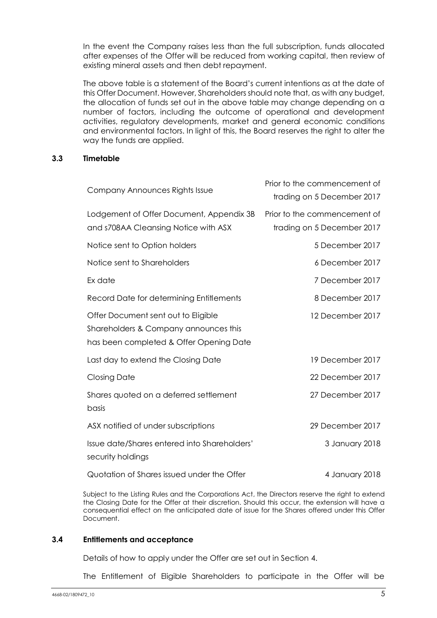In the event the Company raises less than the full subscription, funds allocated after expenses of the Offer will be reduced from working capital, then review of existing mineral assets and then debt repayment.

The above table is a statement of the Board's current intentions as at the date of this Offer Document. However, Shareholders should note that, as with any budget, the allocation of funds set out in the above table may change depending on a number of factors, including the outcome of operational and development activities, regulatory developments, market and general economic conditions and environmental factors. In light of this, the Board reserves the right to alter the way the funds are applied.

#### <span id="page-6-0"></span>**3.3 Timetable**

| Company Announces Rights Issue                                                                                          | Prior to the commencement of<br>trading on 5 December 2017 |
|-------------------------------------------------------------------------------------------------------------------------|------------------------------------------------------------|
| Lodgement of Offer Document, Appendix 3B<br>and s708AA Cleansing Notice with ASX                                        | Prior to the commencement of<br>trading on 5 December 2017 |
| Notice sent to Option holders                                                                                           | 5 December 2017                                            |
| Notice sent to Shareholders                                                                                             | 6 December 2017                                            |
| Ex date                                                                                                                 | 7 December 2017                                            |
| Record Date for determining Entitlements                                                                                | 8 December 2017                                            |
| Offer Document sent out to Eligible<br>Shareholders & Company announces this<br>has been completed & Offer Opening Date | 12 December 2017                                           |
| Last day to extend the Closing Date                                                                                     | 19 December 2017                                           |
| <b>Closing Date</b>                                                                                                     | 22 December 2017                                           |
| Shares quoted on a deferred settlement<br>basis                                                                         | 27 December 2017                                           |
| ASX notified of under subscriptions                                                                                     | 29 December 2017                                           |
| Issue date/Shares entered into Shareholders'<br>security holdings                                                       | 3 January 2018                                             |
| Quotation of Shares issued under the Offer                                                                              | 4 January 2018                                             |

Subject to the Listing Rules and the Corporations Act, the Directors reserve the right to extend the Closing Date for the Offer at their discretion. Should this occur, the extension will have a consequential effect on the anticipated date of issue for the Shares offered under this Offer Document.

#### <span id="page-6-1"></span>**3.4 Entitlements and acceptance**

Details of how to apply under the Offer are set out in Section [4.](#page-14-0)

The Entitlement of Eligible Shareholders to participate in the Offer will be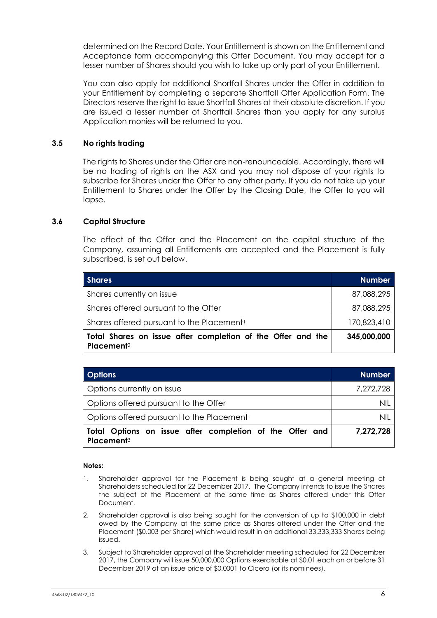determined on the Record Date. Your Entitlement is shown on the Entitlement and Acceptance form accompanying this Offer Document. You may accept for a lesser number of Shares should you wish to take up only part of your Entitlement.

You can also apply for additional Shortfall Shares under the Offer in addition to your Entitlement by completing a separate Shortfall Offer Application Form. The Directors reserve the right to issue Shortfall Shares at their absolute discretion. If you are issued a lesser number of Shortfall Shares than you apply for any surplus Application monies will be returned to you.

# <span id="page-7-0"></span>**3.5 No rights trading**

The rights to Shares under the Offer are non-renounceable. Accordingly, there will be no trading of rights on the ASX and you may not dispose of your rights to subscribe for Shares under the Offer to any other party. If you do not take up your Entitlement to Shares under the Offer by the Closing Date, the Offer to you will lapse.

#### <span id="page-7-1"></span>**3.6 Capital Structure**

The effect of the Offer and the Placement on the capital structure of the Company, assuming all Entitlements are accepted and the Placement is fully subscribed, is set out below.

| <b>Shares</b>                                                                         | <b>Number</b> |
|---------------------------------------------------------------------------------------|---------------|
| Shares currently on issue                                                             | 87,088,295    |
| Shares offered pursuant to the Offer                                                  | 87,088,295    |
| Shares offered pursuant to the Placement <sup>1</sup>                                 | 170,823,410   |
| Total Shares on issue after completion of the Offer and the<br>Placement <sup>2</sup> | 345,000,000   |

| <b>Options</b>                                                                     | <b>Number</b> |
|------------------------------------------------------------------------------------|---------------|
| Options currently on issue                                                         | 7,272,728     |
| Options offered pursuant to the Offer                                              | nil           |
| Options offered pursuant to the Placement                                          | NIL           |
| Total Options on issue after completion of the Offer and<br>Placement <sup>3</sup> | 7,272,728     |

#### **Notes:**

- 1. Shareholder approval for the Placement is being sought at a general meeting of Shareholders scheduled for 22 December 2017. The Company intends to issue the Shares the subject of the Placement at the same time as Shares offered under this Offer Document.
- 2. Shareholder approval is also being sought for the conversion of up to \$100,000 in debt owed by the Company at the same price as Shares offered under the Offer and the Placement (\$0.003 per Share) which would result in an additional 33,333,333 Shares being issued.
- 3. Subject to Shareholder approval at the Shareholder meeting scheduled for 22 December 2017, the Company will issue 50,000,000 Options exercisable at \$0.01 each on or before 31 December 2019 at an issue price of \$0.0001 to Cicero (or its nominees).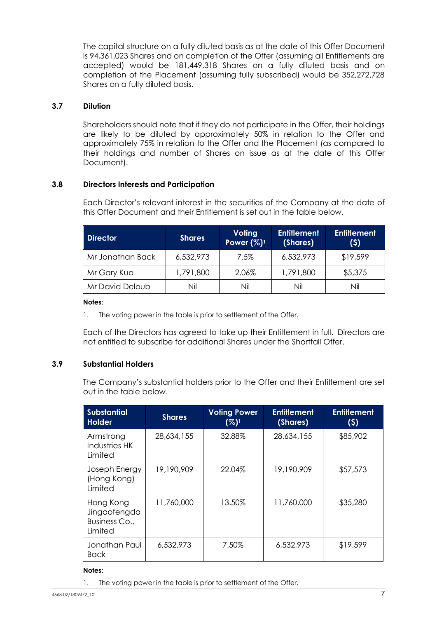The capital structure on a fully diluted basis as at the date of this Offer Document is 94,361,023 Shares and on completion of the Offer (assuming all Entitlements are accepted) would be 181,449,318 Shares on a fully diluted basis and on completion of the Placement (assuming fully subscribed) would be 352,272,728 Shares on a fully diluted basis.

#### <span id="page-8-0"></span>**3.7 Dilution**

Shareholders should note that if they do not participate in the Offer, their holdings are likely to be diluted by approximately 50% in relation to the Offer and approximately 75% in relation to the Offer and the Placement (as compared to their holdings and number of Shares on issue as at the date of this Offer Document).

#### <span id="page-8-1"></span>**3.8 Directors Interests and Participation**

Each Director's relevant interest in the securities of the Company at the date of this Offer Document and their Entitlement is set out in the table below.

| <b>Director</b>  | <b>Shares</b> | <b>Voting</b><br>Power $(\%)$ <sup>1</sup> | <b>Entitlement</b><br>(Shares) | <b>Entitlement</b><br>(5) |
|------------------|---------------|--------------------------------------------|--------------------------------|---------------------------|
| Mr Jonathan Back | 6,532,973     | 7.5%                                       | 6,532,973                      | \$19,599                  |
| Mr Gary Kuo      | 1,791,800     | 2.06%                                      | 1,791,800                      | \$5,375                   |
| Mr David Deloub  | Nil           | Nil                                        | Nil                            | Nil                       |

#### **Notes**:

1. The voting power in the table is prior to settlement of the Offer.

Each of the Directors has agreed to take up their Entitlement in full. Directors are not entitled to subscribe for additional Shares under the Shortfall Offer.

#### <span id="page-8-2"></span>**3.9 Substantial Holders**

The Company's substantial holders prior to the Offer and their Entitlement are set out in the table below.

| <b>Substantial</b><br><b>Holder</b>                   | <b>Shares</b> | <b>Voting Power</b><br>(%) <sup>1</sup> | <b>Entitlement</b><br>(Shares) | <b>Entitlement</b><br>(5) |
|-------------------------------------------------------|---------------|-----------------------------------------|--------------------------------|---------------------------|
| Armstrong<br>Industries HK<br>Limited                 | 28,634,155    | 32.88%                                  | 28,634,155                     | \$85,902                  |
| Joseph Energy<br>(Hong Kong)<br>Limited               | 19,190,909    | 22.04%                                  | 19,190,909                     | \$57,573                  |
| Hong Kong<br>Jingaofengda<br>Business Co.,<br>Limited | 11,760,000    | 13.50%                                  | 11,760,000                     | \$35,280                  |
| Jonathan Paul<br>Back                                 | 6,532,973     | 7.50%                                   | 6,532,973                      | \$19,599                  |

#### **Notes**:

1. The voting power in the table is prior to settlement of the Offer.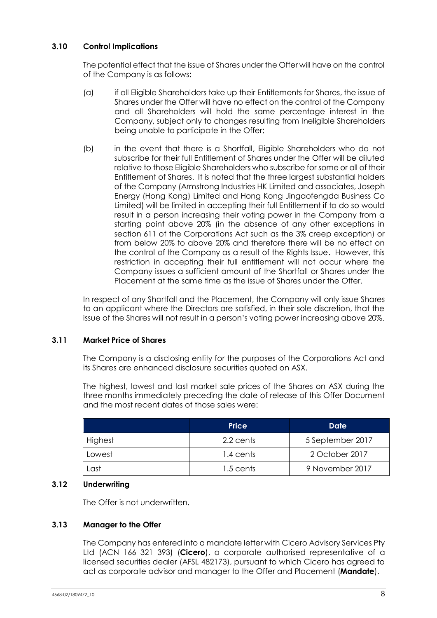# <span id="page-9-0"></span>**3.10 Control Implications**

The potential effect that the issue of Shares under the Offer will have on the control of the Company is as follows:

- (a) if all Eligible Shareholders take up their Entitlements for Shares, the issue of Shares under the Offer will have no effect on the control of the Company and all Shareholders will hold the same percentage interest in the Company, subject only to changes resulting from Ineligible Shareholders being unable to participate in the Offer;
- (b) in the event that there is a Shortfall, Eligible Shareholders who do not subscribe for their full Entitlement of Shares under the Offer will be diluted relative to those Eligible Shareholders who subscribe for some or all of their Entitlement of Shares. It is noted that the three largest substantial holders of the Company (Armstrong Industries HK Limited and associates, Joseph Energy (Hong Kong) Limited and Hong Kong Jingaofengda Business Co Limited) will be limited in accepting their full Entitlement if to do so would result in a person increasing their voting power in the Company from a starting point above 20% (in the absence of any other exceptions in section 611 of the Corporations Act such as the 3% creep exception) or from below 20% to above 20% and therefore there will be no effect on the control of the Company as a result of the Rights Issue. However, this restriction in accepting their full entitlement will not occur where the Company issues a sufficient amount of the Shortfall or Shares under the Placement at the same time as the issue of Shares under the Offer.

In respect of any Shortfall and the Placement, the Company will only issue Shares to an applicant where the Directors are satisfied, in their sole discretion, that the issue of the Shares will not result in a person's voting power increasing above 20%.

#### <span id="page-9-1"></span>**3.11 Market Price of Shares**

The Company is a disclosing entity for the purposes of the Corporations Act and its Shares are enhanced disclosure securities quoted on ASX.

The highest, lowest and last market sale prices of the Shares on ASX during the three months immediately preceding the date of release of this Offer Document and the most recent dates of those sales were:

|                | <b>Price</b> | Date             |
|----------------|--------------|------------------|
| <b>Highest</b> | 2.2 cents    | 5 September 2017 |
| Lowest         | 1.4 cents    | 2 October 2017   |
| Last           | 1.5 cents    | 9 November 2017  |

#### <span id="page-9-2"></span>**3.12 Underwriting**

The Offer is not underwritten.

#### <span id="page-9-3"></span>**3.13 Manager to the Offer**

The Company has entered into a mandate letter with Cicero Advisory Services Pty Ltd (ACN 166 321 393) (**Cicero**), a corporate authorised representative of a licensed securities dealer (AFSL 482173), pursuant to which Cicero has agreed to act as corporate advisor and manager to the Offer and Placement (**Mandate**).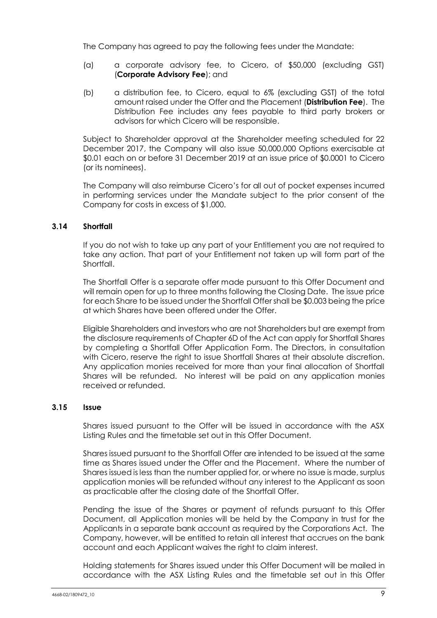The Company has agreed to pay the following fees under the Mandate:

- (a) a corporate advisory fee, to Cicero, of \$50,000 (excluding GST) (**Corporate Advisory Fee**); and
- (b) a distribution fee, to Cicero, equal to 6% (excluding GST) of the total amount raised under the Offer and the Placement (**Distribution Fee**). The Distribution Fee includes any fees payable to third party brokers or advisors for which Cicero will be responsible.

Subject to Shareholder approval at the Shareholder meeting scheduled for 22 December 2017, the Company will also issue 50,000,000 Options exercisable at \$0.01 each on or before 31 December 2019 at an issue price of \$0.0001 to Cicero (or its nominees).

The Company will also reimburse Cicero's for all out of pocket expenses incurred in performing services under the Mandate subject to the prior consent of the Company for costs in excess of \$1,000.

#### <span id="page-10-1"></span>**3.14 Shortfall**

If you do not wish to take up any part of your Entitlement you are not required to take any action. That part of your Entitlement not taken up will form part of the **Shortfall** 

The Shortfall Offer is a separate offer made pursuant to this Offer Document and will remain open for up to three months following the Closing Date. The issue price for each Share to be issued under the Shortfall Offer shall be \$0.003 being the price at which Shares have been offered under the Offer.

Eligible Shareholders and investors who are not Shareholders but are exempt from the disclosure requirements of Chapter 6D of the Act can apply for Shortfall Shares by completing a Shortfall Offer Application Form. The Directors, in consultation with Cicero, reserve the right to issue Shortfall Shares at their absolute discretion. Any application monies received for more than your final allocation of Shortfall Shares will be refunded. No interest will be paid on any application monies received or refunded.

#### <span id="page-10-0"></span>**3.15 Issue**

Shares issued pursuant to the Offer will be issued in accordance with the ASX Listing Rules and the timetable set out in this Offer Document.

Shares issued pursuant to the Shortfall Offer are intended to be issued at the same time as Shares issued under the Offer and the Placement. Where the number of Shares issued is less than the number applied for, or where no issue is made, surplus application monies will be refunded without any interest to the Applicant as soon as practicable after the closing date of the Shortfall Offer.

Pending the issue of the Shares or payment of refunds pursuant to this Offer Document, all Application monies will be held by the Company in trust for the Applicants in a separate bank account as required by the Corporations Act. The Company, however, will be entitled to retain all interest that accrues on the bank account and each Applicant waives the right to claim interest.

Holding statements for Shares issued under this Offer Document will be mailed in accordance with the ASX Listing Rules and the timetable set out in this Offer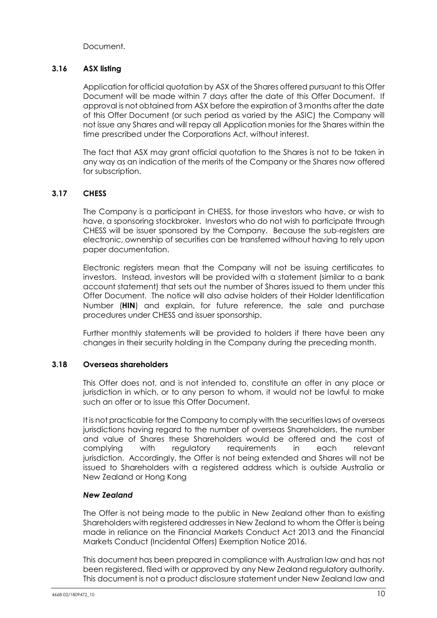Document.

#### <span id="page-11-0"></span>**3.16 ASX listing**

Application for official quotation by ASX of the Shares offered pursuant to this Offer Document will be made within 7 days after the date of this Offer Document. If approval is not obtained from ASX before the expiration of 3 months after the date of this Offer Document (or such period as varied by the ASIC) the Company will not issue any Shares and will repay all Application monies for the Shares within the time prescribed under the Corporations Act, without interest.

The fact that ASX may grant official quotation to the Shares is not to be taken in any way as an indication of the merits of the Company or the Shares now offered for subscription.

# <span id="page-11-1"></span>**3.17 CHESS**

The Company is a participant in CHESS, for those investors who have, or wish to have, a sponsoring stockbroker. Investors who do not wish to participate through CHESS will be issuer sponsored by the Company. Because the sub-registers are electronic, ownership of securities can be transferred without having to rely upon paper documentation.

Electronic registers mean that the Company will not be issuing certificates to investors. Instead, investors will be provided with a statement (similar to a bank account statement) that sets out the number of Shares issued to them under this Offer Document. The notice will also advise holders of their Holder Identification Number (**HIN**) and explain, for future reference, the sale and purchase procedures under CHESS and issuer sponsorship.

Further monthly statements will be provided to holders if there have been any changes in their security holding in the Company during the preceding month.

#### <span id="page-11-2"></span>**3.18 Overseas shareholders**

This Offer does not, and is not intended to, constitute an offer in any place or jurisdiction in which, or to any person to whom, it would not be lawful to make such an offer or to issue this Offer Document.

It is not practicable for the Company to comply with the securities laws of overseas jurisdictions having regard to the number of overseas Shareholders, the number and value of Shares these Shareholders would be offered and the cost of complying with regulatory requirements in each relevant jurisdiction. Accordingly, the Offer is not being extended and Shares will not be issued to Shareholders with a registered address which is outside Australia or New Zealand or Hong Kong

#### *New Zealand*

The Offer is not being made to the public in New Zealand other than to existing Shareholders with registered addresses in New Zealand to whom the Offer is being made in reliance on the Financial Markets Conduct Act 2013 and the Financial Markets Conduct (Incidental Offers) Exemption Notice 2016.

This document has been prepared in compliance with Australian law and has not been registered, filed with or approved by any New Zealand regulatory authority. This document is not a product disclosure statement under New Zealand law and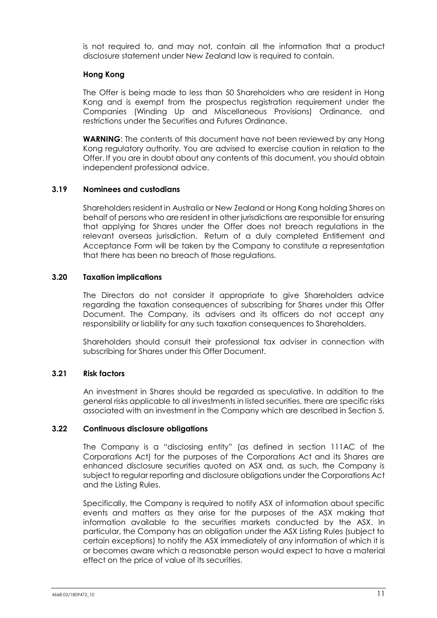is not required to, and may not, contain all the information that a product disclosure statement under New Zealand law is required to contain.

#### **Hong Kong**

The Offer is being made to less than 50 Shareholders who are resident in Hong Kong and is exempt from the prospectus registration requirement under the Companies (Winding Up and Miscellaneous Provisions) Ordinance, and restrictions under the Securities and Futures Ordinance.

**WARNING:** The contents of this document have not been reviewed by any Hong Kong regulatory authority. You are advised to exercise caution in relation to the Offer. If you are in doubt about any contents of this document, you should obtain independent professional advice.

#### <span id="page-12-0"></span>**3.19 Nominees and custodians**

Shareholders resident in Australia or New Zealand or Hong Kong holding Shares on behalf of persons who are resident in other jurisdictions are responsible for ensuring that applying for Shares under the Offer does not breach regulations in the relevant overseas jurisdiction. Return of a duly completed Entitlement and Acceptance Form will be taken by the Company to constitute a representation that there has been no breach of those regulations.

#### <span id="page-12-1"></span>**3.20 Taxation implications**

The Directors do not consider it appropriate to give Shareholders advice regarding the taxation consequences of subscribing for Shares under this Offer Document. The Company, its advisers and its officers do not accept any responsibility or liability for any such taxation consequences to Shareholders.

Shareholders should consult their professional tax adviser in connection with subscribing for Shares under this Offer Document.

#### <span id="page-12-2"></span>**3.21 Risk factors**

An investment in Shares should be regarded as speculative. In addition to the general risks applicable to all investments in listed securities, there are specific risks associated with an investment in the Company which are described in Section [5](#page-16-0).

#### <span id="page-12-3"></span>**3.22 Continuous disclosure obligations**

The Company is a "disclosing entity" (as defined in section 111AC of the Corporations Act) for the purposes of the Corporations Act and its Shares are enhanced disclosure securities quoted on ASX and, as such, the Company is subject to regular reporting and disclosure obligations under the Corporations Act and the Listing Rules.

Specifically, the Company is required to notify ASX of information about specific events and matters as they arise for the purposes of the ASX making that information available to the securities markets conducted by the ASX. In particular, the Company has an obligation under the ASX Listing Rules (subject to certain exceptions) to notify the ASX immediately of any information of which it is or becomes aware which a reasonable person would expect to have a material effect on the price of value of its securities.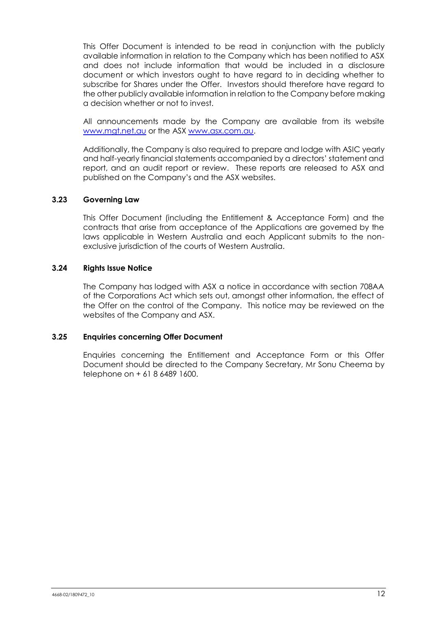This Offer Document is intended to be read in conjunction with the publicly available information in relation to the Company which has been notified to ASX and does not include information that would be included in a disclosure document or which investors ought to have regard to in deciding whether to subscribe for Shares under the Offer. Investors should therefore have regard to the other publicly available information in relation to the Company before making a decision whether or not to invest.

All announcements made by the Company are available from its website www.mgt.net.au or the ASX [www.asx.com.au.](http://www.asx.com.au/)

Additionally, the Company is also required to prepare and lodge with ASIC yearly and half-yearly financial statements accompanied by a directors' statement and report, and an audit report or review. These reports are released to ASX and published on the Company's and the ASX websites.

#### <span id="page-13-0"></span>**3.23 Governing Law**

This Offer Document (including the Entitlement & Acceptance Form) and the contracts that arise from acceptance of the Applications are governed by the laws applicable in Western Australia and each Applicant submits to the nonexclusive jurisdiction of the courts of Western Australia.

#### <span id="page-13-1"></span>**3.24 Rights Issue Notice**

The Company has lodged with ASX a notice in accordance with section 708AA of the Corporations Act which sets out, amongst other information, the effect of the Offer on the control of the Company. This notice may be reviewed on the websites of the Company and ASX.

#### <span id="page-13-2"></span>**3.25 Enquiries concerning Offer Document**

Enquiries concerning the Entitlement and Acceptance Form or this Offer Document should be directed to the Company Secretary, Mr Sonu Cheema by telephone on + 61 8 6489 1600.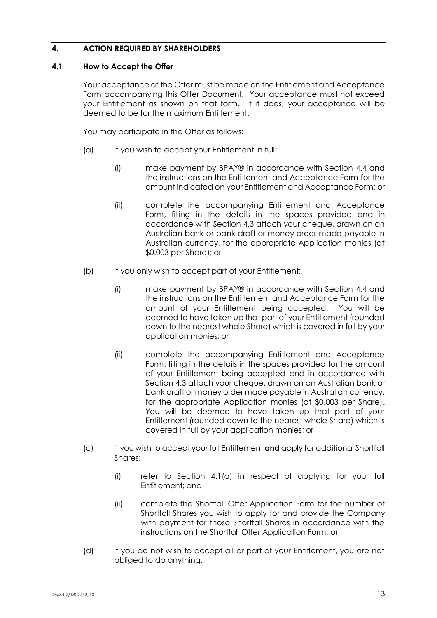# <span id="page-14-0"></span>**4. ACTION REQUIRED BY SHAREHOLDERS**

#### <span id="page-14-1"></span>**4.1 How to Accept the Offer**

Your acceptance of the Offer must be made on the Entitlement and Acceptance Form accompanying this Offer Document. Your acceptance must not exceed your Entitlement as shown on that form. If it does, your acceptance will be deemed to be for the maximum Entitlement.

You may participate in the Offer as follows:

- <span id="page-14-2"></span>(a) if you wish to accept your Entitlement in full:
	- (i) make payment by BPAY® in accordance with Section [4.4](#page-15-2) and the instructions on the Entitlement and Acceptance Form for the amount indicated on your Entitlement and Acceptance Form; or
	- (ii) complete the accompanying Entitlement and Acceptance Form, filling in the details in the spaces provided and in accordance with Section [4.3](#page-15-1) attach your cheque, drawn on an Australian bank or bank draft or money order made payable in Australian currency, for the appropriate Application monies (at \$0.003 per Share); or
- (b) if you only wish to accept part of your Entitlement:
	- (i) make payment by BPAY® in accordance with Section [4.4](#page-15-2) and the instructions on the Entitlement and Acceptance Form for the amount of your Entitlement being accepted. You will be deemed to have taken up that part of your Entitlement (rounded down to the nearest whole Share) which is covered in full by your application monies; or
	- (ii) complete the accompanying Entitlement and Acceptance Form, filling in the details in the spaces provided for the amount of your Entitlement being accepted and in accordance with Section [4.3](#page-15-1) attach your cheque, drawn on an Australian bank or bank draft or money order made payable in Australian currency, for the appropriate Application monies (at \$0.003 per Share). You will be deemed to have taken up that part of your Entitlement (rounded down to the nearest whole Share) which is covered in full by your application monies; or
- (c) if you wish to accept your full Entitlement **and** apply for additional Shortfall Shares:
	- (i) refer to Section [4.1\(a\)](#page-14-2) in respect of applying for your full Entitlement; and
	- (ii) complete the Shortfall Offer Application Form for the number of Shortfall Shares you wish to apply for and provide the Company with payment for those Shortfall Shares in accordance with the instructions on the Shortfall Offer Application Form; or
- (d) if you do not wish to accept all or part of your Entitlement, you are not obliged to do anything.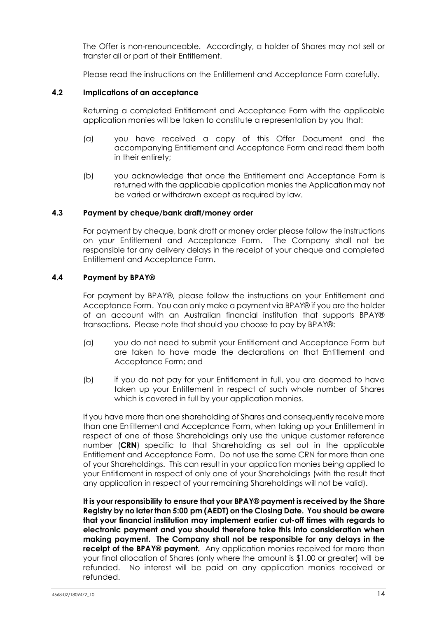The Offer is non-renounceable. Accordingly, a holder of Shares may not sell or transfer all or part of their Entitlement.

Please read the instructions on the Entitlement and Acceptance Form carefully.

#### <span id="page-15-0"></span>**4.2 Implications of an acceptance**

Returning a completed Entitlement and Acceptance Form with the applicable application monies will be taken to constitute a representation by you that:

- (a) you have received a copy of this Offer Document and the accompanying Entitlement and Acceptance Form and read them both in their entirety;
- (b) you acknowledge that once the Entitlement and Acceptance Form is returned with the applicable application monies the Application may not be varied or withdrawn except as required by law.

#### <span id="page-15-1"></span>**4.3 Payment by cheque/bank draft/money order**

For payment by cheque, bank draft or money order please follow the instructions on your Entitlement and Acceptance Form. The Company shall not be responsible for any delivery delays in the receipt of your cheque and completed Entitlement and Acceptance Form.

#### <span id="page-15-2"></span>**4.4 Payment by BPAY®**

For payment by BPAY®, please follow the instructions on your Entitlement and Acceptance Form. You can only make a payment via BPAY® if you are the holder of an account with an Australian financial institution that supports BPAY® transactions. Please note that should you choose to pay by BPAY®:

- (a) you do not need to submit your Entitlement and Acceptance Form but are taken to have made the declarations on that Entitlement and Acceptance Form; and
- (b) if you do not pay for your Entitlement in full, you are deemed to have taken up your Entitlement in respect of such whole number of Shares which is covered in full by your application monies.

If you have more than one shareholding of Shares and consequently receive more than one Entitlement and Acceptance Form, when taking up your Entitlement in respect of one of those Shareholdings only use the unique customer reference number (**CRN**) specific to that Shareholding as set out in the applicable Entitlement and Acceptance Form. Do not use the same CRN for more than one of your Shareholdings. This can result in your application monies being applied to your Entitlement in respect of only one of your Shareholdings (with the result that any application in respect of your remaining Shareholdings will not be valid).

**It is your responsibility to ensure that your BPAY® payment is received by the Share Registry by no later than 5:00 pm (AEDT) on the Closing Date. You should be aware that your financial institution may implement earlier cut-off times with regards to electronic payment and you should therefore take this into consideration when making payment. The Company shall not be responsible for any delays in the receipt of the BPAY® payment.** Any application monies received for more than your final allocation of Shares (only where the amount is \$1.00 or greater) will be refunded. No interest will be paid on any application monies received or refunded.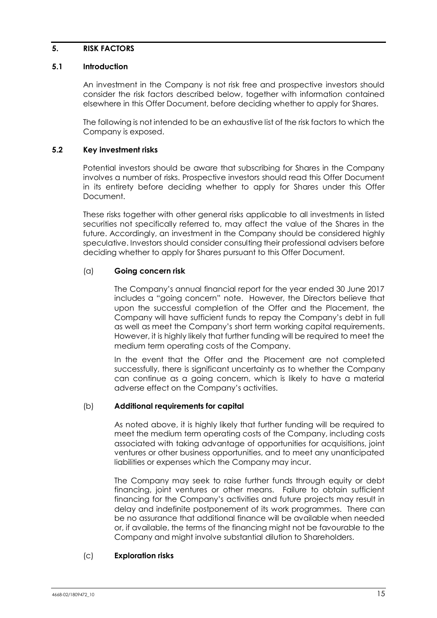#### <span id="page-16-0"></span>**5. RISK FACTORS**

#### <span id="page-16-1"></span>**5.1 Introduction**

An investment in the Company is not risk free and prospective investors should consider the risk factors described below, together with information contained elsewhere in this Offer Document, before deciding whether to apply for Shares.

The following is not intended to be an exhaustive list of the risk factors to which the Company is exposed.

#### <span id="page-16-2"></span>**5.2 Key investment risks**

Potential investors should be aware that subscribing for Shares in the Company involves a number of risks. Prospective investors should read this Offer Document in its entirety before deciding whether to apply for Shares under this Offer Document.

These risks together with other general risks applicable to all investments in listed securities not specifically referred to, may affect the value of the Shares in the future. Accordingly, an investment in the Company should be considered highly speculative. Investors should consider consulting their professional advisers before deciding whether to apply for Shares pursuant to this Offer Document.

#### (a) **Going concern risk**

The Company's annual financial report for the year ended 30 June 2017 includes a "going concern" note. However, the Directors believe that upon the successful completion of the Offer and the Placement, the Company will have sufficient funds to repay the Company's debt in full as well as meet the Company's short term working capital requirements. However, it is highly likely that further funding will be required to meet the medium term operating costs of the Company.

In the event that the Offer and the Placement are not completed successfully, there is significant uncertainty as to whether the Company can continue as a going concern, which is likely to have a material adverse effect on the Company's activities.

#### (b) **Additional requirements for capital**

As noted above, it is highly likely that further funding will be required to meet the medium term operating costs of the Company, including costs associated with taking advantage of opportunities for acquisitions, joint ventures or other business opportunities, and to meet any unanticipated liabilities or expenses which the Company may incur.

The Company may seek to raise further funds through equity or debt financing, joint ventures or other means. Failure to obtain sufficient financing for the Company's activities and future projects may result in delay and indefinite postponement of its work programmes. There can be no assurance that additional finance will be available when needed or, if available, the terms of the financing might not be favourable to the Company and might involve substantial dilution to Shareholders.

#### (c) **Exploration risks**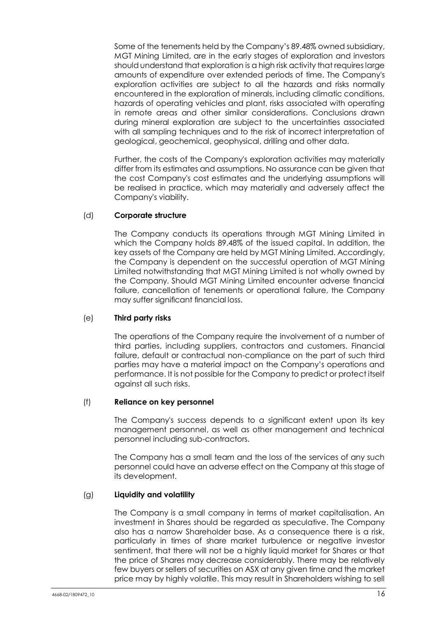Some of the tenements held by the Company's 89.48% owned subsidiary, MGT Mining Limited, are in the early stages of exploration and investors should understand that exploration is a high risk activity that requires large amounts of expenditure over extended periods of time. The Company's exploration activities are subject to all the hazards and risks normally encountered in the exploration of minerals, including climatic conditions, hazards of operating vehicles and plant, risks associated with operating in remote areas and other similar considerations. Conclusions drawn during mineral exploration are subject to the uncertainties associated with all sampling techniques and to the risk of incorrect interpretation of geological, geochemical, geophysical, drilling and other data.

Further, the costs of the Company's exploration activities may materially differ from its estimates and assumptions. No assurance can be given that the cost Company's cost estimates and the underlying assumptions will be realised in practice, which may materially and adversely affect the Company's viability.

# (d) **Corporate structure**

The Company conducts its operations through MGT Mining Limited in which the Company holds 89.48% of the issued capital. In addition, the key assets of the Company are held by MGT Mining Limited. Accordingly, the Company is dependent on the successful operation of MGT Mining Limited notwithstanding that MGT Mining Limited is not wholly owned by the Company. Should MGT Mining Limited encounter adverse financial failure, cancellation of tenements or operational failure, the Company may suffer significant financial loss.

#### (e) **Third party risks**

The operations of the Company require the involvement of a number of third parties, including suppliers, contractors and customers. Financial failure, default or contractual non-compliance on the part of such third parties may have a material impact on the Company's operations and performance. It is not possible for the Company to predict or protect itself against all such risks.

#### (f) **Reliance on key personnel**

The Company's success depends to a significant extent upon its key management personnel, as well as other management and technical personnel including sub-contractors.

The Company has a small team and the loss of the services of any such personnel could have an adverse effect on the Company at this stage of its development.

#### (g) **Liquidity and volatility**

The Company is a small company in terms of market capitalisation. An investment in Shares should be regarded as speculative. The Company also has a narrow Shareholder base. As a consequence there is a risk, particularly in times of share market turbulence or negative investor sentiment, that there will not be a highly liquid market for Shares or that the price of Shares may decrease considerably. There may be relatively few buyers or sellers of securities on ASX at any given time and the market price may by highly volatile. This may result in Shareholders wishing to sell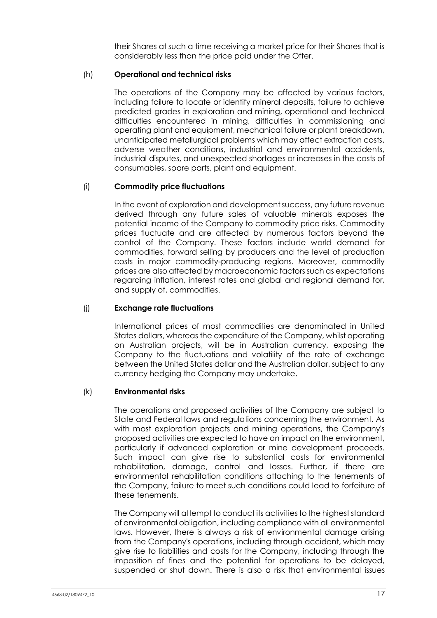their Shares at such a time receiving a market price for their Shares that is considerably less than the price paid under the Offer.

# (h) **Operational and technical risks**

The operations of the Company may be affected by various factors, including failure to locate or identify mineral deposits, failure to achieve predicted grades in exploration and mining, operational and technical difficulties encountered in mining, difficulties in commissioning and operating plant and equipment, mechanical failure or plant breakdown, unanticipated metallurgical problems which may affect extraction costs, adverse weather conditions, industrial and environmental accidents, industrial disputes, and unexpected shortages or increases in the costs of consumables, spare parts, plant and equipment.

# (i) **Commodity price fluctuations**

In the event of exploration and development success, any future revenue derived through any future sales of valuable minerals exposes the potential income of the Company to commodity price risks. Commodity prices fluctuate and are affected by numerous factors beyond the control of the Company. These factors include world demand for commodities, forward selling by producers and the level of production costs in major commodity-producing regions. Moreover, commodity prices are also affected by macroeconomic factors such as expectations regarding inflation, interest rates and global and regional demand for, and supply of, commodities.

# (j) **Exchange rate fluctuations**

International prices of most commodities are denominated in United States dollars, whereas the expenditure of the Company, whilst operating on Australian projects, will be in Australian currency, exposing the Company to the fluctuations and volatility of the rate of exchange between the United States dollar and the Australian dollar, subject to any currency hedging the Company may undertake.

#### (k) **Environmental risks**

The operations and proposed activities of the Company are subject to State and Federal laws and regulations concerning the environment. As with most exploration projects and mining operations, the Company's proposed activities are expected to have an impact on the environment, particularly if advanced exploration or mine development proceeds. Such impact can give rise to substantial costs for environmental rehabilitation, damage, control and losses. Further, if there are environmental rehabilitation conditions attaching to the tenements of the Company, failure to meet such conditions could lead to forfeiture of these tenements.

The Company will attempt to conduct its activities to the highest standard of environmental obligation, including compliance with all environmental laws. However, there is always a risk of environmental damage arising from the Company's operations, including through accident, which may give rise to liabilities and costs for the Company, including through the imposition of fines and the potential for operations to be delayed, suspended or shut down. There is also a risk that environmental issues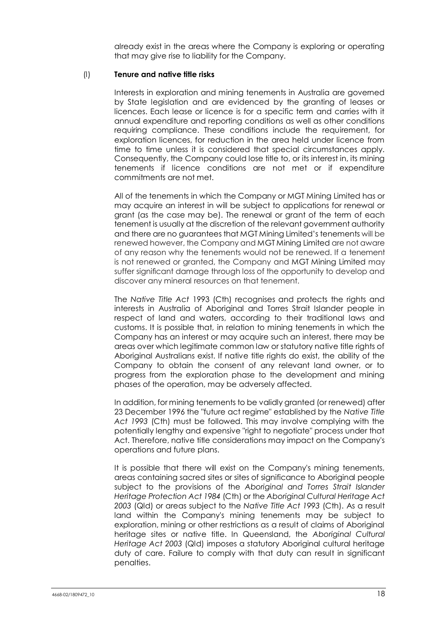already exist in the areas where the Company is exploring or operating that may give rise to liability for the Company.

#### (l) **Tenure and native title risks**

Interests in exploration and mining tenements in Australia are governed by State legislation and are evidenced by the granting of leases or licences. Each lease or licence is for a specific term and carries with it annual expenditure and reporting conditions as well as other conditions requiring compliance. These conditions include the requirement, for exploration licences, for reduction in the area held under licence from time to time unless it is considered that special circumstances apply. Consequently, the Company could lose title to, or its interest in, its mining tenements if licence conditions are not met or if expenditure commitments are not met.

All of the tenements in which the Company or MGT Mining Limited has or may acquire an interest in will be subject to applications for renewal or grant (as the case may be). The renewal or grant of the term of each tenement is usually at the discretion of the relevant government authority and there are no guarantees that MGT Mining Limited's tenements will be renewed however, the Company and MGT Mining Limited are not aware of any reason why the tenements would not be renewed. If a tenement is not renewed or granted, the Company and MGT Mining Limited may suffer significant damage through loss of the opportunity to develop and discover any mineral resources on that tenement.

The *Native Title Act* 1993 (Cth) recognises and protects the rights and interests in Australia of Aboriginal and Torres Strait Islander people in respect of land and waters, according to their traditional laws and customs. It is possible that, in relation to mining tenements in which the Company has an interest or may acquire such an interest, there may be areas over which legitimate common law or statutory native title rights of Aboriginal Australians exist. If native title rights do exist, the ability of the Company to obtain the consent of any relevant land owner, or to progress from the exploration phase to the development and mining phases of the operation, may be adversely affected.

In addition, for mining tenements to be validly granted (or renewed) after 23 December 1996 the "future act regime" established by the *Native Title Act 1993* (Cth) must be followed. This may involve complying with the potentially lengthy and expensive "right to negotiate" process under that Act. Therefore, native title considerations may impact on the Company's operations and future plans.

It is possible that there will exist on the Company's mining tenements, areas containing sacred sites or sites of significance to Aboriginal people subject to the provisions of the *Aboriginal and Torres Strait Islander Heritage Protection Act 1984* (Cth) or the *Aboriginal Cultural Heritage Act 2003* (Qld) or areas subject to the *Native Title Act 1993* (Cth). As a result land within the Company's mining tenements may be subject to exploration, mining or other restrictions as a result of claims of Aboriginal heritage sites or native title. In Queensland, the *Aboriginal Cultural Heritage Act 2003* (Qld) imposes a statutory Aboriginal cultural heritage duty of care. Failure to comply with that duty can result in significant penalties.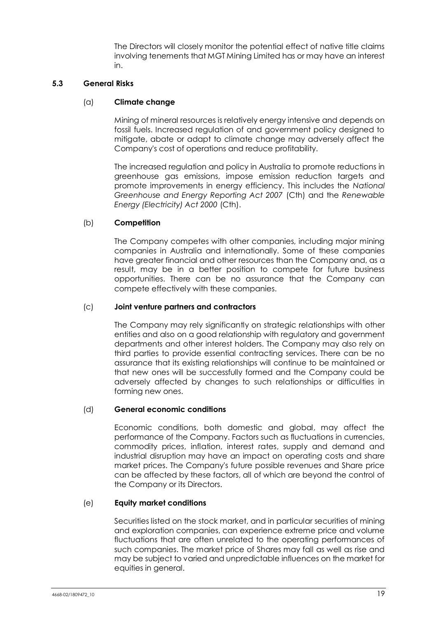The Directors will closely monitor the potential effect of native title claims involving tenements that MGT Mining Limited has or may have an interest in.

#### <span id="page-20-0"></span>**5.3 General Risks**

# (a) **Climate change**

Mining of mineral resources is relatively energy intensive and depends on fossil fuels. Increased regulation of and government policy designed to mitigate, abate or adapt to climate change may adversely affect the Company's cost of operations and reduce profitability.

The increased regulation and policy in Australia to promote reductions in greenhouse gas emissions, impose emission reduction targets and promote improvements in energy efficiency. This includes the *National Greenhouse and Energy Reporting Act 2007* (Cth) and the *Renewable Energy (Electricity) Act 2000* (Cth).

# (b) **Competition**

The Company competes with other companies, including major mining companies in Australia and internationally. Some of these companies have greater financial and other resources than the Company and, as a result, may be in a better position to compete for future business opportunities. There can be no assurance that the Company can compete effectively with these companies.

#### (c) **Joint venture partners and contractors**

The Company may rely significantly on strategic relationships with other entities and also on a good relationship with regulatory and government departments and other interest holders. The Company may also rely on third parties to provide essential contracting services. There can be no assurance that its existing relationships will continue to be maintained or that new ones will be successfully formed and the Company could be adversely affected by changes to such relationships or difficulties in forming new ones.

#### (d) **General economic conditions**

Economic conditions, both domestic and global, may affect the performance of the Company. Factors such as fluctuations in currencies, commodity prices, inflation, interest rates, supply and demand and industrial disruption may have an impact on operating costs and share market prices. The Company's future possible revenues and Share price can be affected by these factors, all of which are beyond the control of the Company or its Directors.

#### (e) **Equity market conditions**

Securities listed on the stock market, and in particular securities of mining and exploration companies, can experience extreme price and volume fluctuations that are often unrelated to the operating performances of such companies. The market price of Shares may fall as well as rise and may be subject to varied and unpredictable influences on the market for equities in general.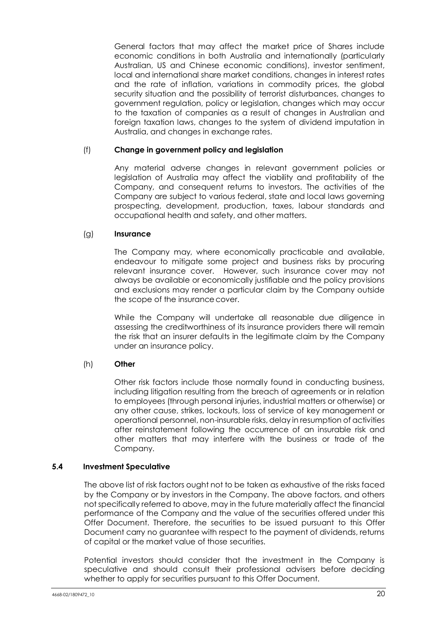General factors that may affect the market price of Shares include economic conditions in both Australia and internationally (particularly Australian, US and Chinese economic conditions), investor sentiment, local and international share market conditions, changes in interest rates and the rate of inflation, variations in commodity prices, the global security situation and the possibility of terrorist disturbances, changes to government regulation, policy or legislation, changes which may occur to the taxation of companies as a result of changes in Australian and foreign taxation laws, changes to the system of dividend imputation in Australia, and changes in exchange rates.

#### (f) **Change in government policy and legislation**

Any material adverse changes in relevant government policies or legislation of Australia may affect the viability and profitability of the Company, and consequent returns to investors. The activities of the Company are subject to various federal, state and local laws governing prospecting, development, production, taxes, labour standards and occupational health and safety, and other matters.

#### (g) **Insurance**

The Company may, where economically practicable and available, endeavour to mitigate some project and business risks by procuring relevant insurance cover. However, such insurance cover may not always be available or economically justifiable and the policy provisions and exclusions may render a particular claim by the Company outside the scope of the insurance cover.

While the Company will undertake all reasonable due diligence in assessing the creditworthiness of its insurance providers there will remain the risk that an insurer defaults in the legitimate claim by the Company under an insurance policy.

#### (h) **Other**

Other risk factors include those normally found in conducting business, including litigation resulting from the breach of agreements or in relation to employees (through personal injuries, industrial matters or otherwise) or any other cause, strikes, lockouts, loss of service of key management or operational personnel, non-insurable risks, delay in resumption of activities after reinstatement following the occurrence of an insurable risk and other matters that may interfere with the business or trade of the Company.

#### <span id="page-21-0"></span>**5.4 Investment Speculative**

The above list of risk factors ought not to be taken as exhaustive of the risks faced by the Company or by investors in the Company. The above factors, and others not specifically referred to above, may in the future materially affect the financial performance of the Company and the value of the securities offered under this Offer Document. Therefore, the securities to be issued pursuant to this Offer Document carry no guarantee with respect to the payment of dividends, returns of capital or the market value of those securities.

Potential investors should consider that the investment in the Company is speculative and should consult their professional advisers before deciding whether to apply for securities pursuant to this Offer Document.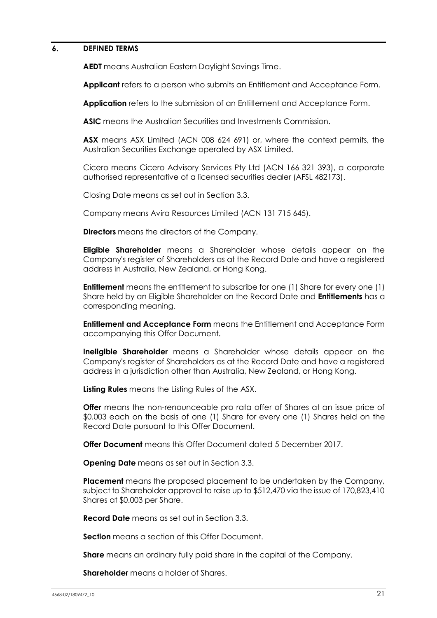#### <span id="page-22-0"></span>**6. DEFINED TERMS**

**AEDT** means Australian Eastern Daylight Savings Time.

**Applicant** refers to a person who submits an Entitlement and Acceptance Form.

**Application** refers to the submission of an Entitlement and Acceptance Form.

**ASIC** means the Australian Securities and Investments Commission.

**ASX** means ASX Limited (ACN 008 624 691) or, where the context permits, the Australian Securities Exchange operated by ASX Limited.

Cicero means Cicero Advisory Services Pty Ltd (ACN 166 321 393), a corporate authorised representative of a licensed securities dealer (AFSL 482173).

Closing Date means as set out in Section [3.3.](#page-6-0)

Company means Avira Resources Limited (ACN 131 715 645).

**Directors** means the directors of the Company.

**Eligible Shareholder** means a Shareholder whose details appear on the Company's register of Shareholders as at the Record Date and have a registered address in Australia, New Zealand, or Hong Kong.

**Entitlement** means the entitlement to subscribe for one (1) Share for every one (1) Share held by an Eligible Shareholder on the Record Date and **Entitlements** has a corresponding meaning.

**Entitlement and Acceptance Form** means the Entitlement and Acceptance Form accompanying this Offer Document.

**Ineligible Shareholder** means a Shareholder whose details appear on the Company's register of Shareholders as at the Record Date and have a registered address in a jurisdiction other than Australia, New Zealand, or Hong Kong.

**Listing Rules** means the Listing Rules of the ASX.

**Offer** means the non-renounceable pro rata offer of Shares at an issue price of \$0.003 each on the basis of one (1) Share for every one (1) Shares held on the Record Date pursuant to this Offer Document.

**Offer Document** means this Offer Document dated 5 December 2017.

**Opening Date** means as set out in Section [3.3.](#page-6-0)

**Placement** means the proposed placement to be undertaken by the Company, subject to Shareholder approval to raise up to \$512,470 via the issue of 170,823,410 Shares at \$0.003 per Share.

**Record Date** means as set out in Section [3.3.](#page-6-0)

**Section** means a section of this Offer Document.

**Share** means an ordinary fully paid share in the capital of the Company.

**Shareholder** means a holder of Shares.